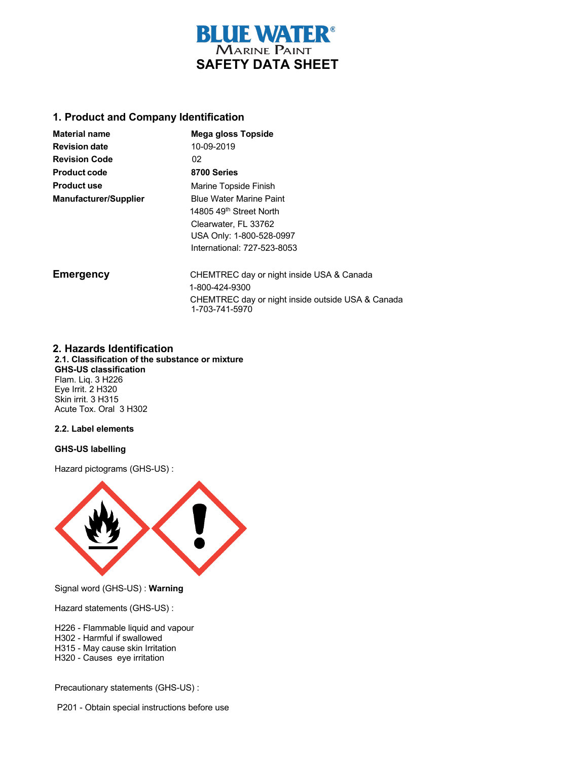

### **1. Product and Company Identification**

| <b>Material name</b>         | Mega gloss Topside                                                  |
|------------------------------|---------------------------------------------------------------------|
| <b>Revision date</b>         | 10-09-2019                                                          |
| <b>Revision Code</b>         | 02                                                                  |
| <b>Product code</b>          | 8700 Series                                                         |
| <b>Product use</b>           | Marine Topside Finish                                               |
| <b>Manufacturer/Supplier</b> | <b>Blue Water Marine Paint</b>                                      |
|                              | 14805 49 <sup>th</sup> Street North                                 |
|                              | Clearwater, FL 33762                                                |
|                              | USA Only: 1-800-528-0997                                            |
|                              | International: 727-523-8053                                         |
| <b>Emergency</b>             | CHEMTREC day or night inside USA & Canada                           |
|                              | 1-800-424-9300                                                      |
|                              | CHEMTREC day or night inside outside USA & Canada<br>1-703-741-5970 |

### **2. Hazards Identification**

**2.1. Classification of the substance or mixture GHS-US classification** Flam. Liq. 3 H226 Eye Irrit. 2 H320 Skin irrit. 3 H315 Acute Tox. Oral 3 H302

### **2.2. Label elements**

### **GHS-US labelling**

Hazard pictograms (GHS-US) :



Signal word (GHS-US) : **Warning**

Hazard statements (GHS-US) :

- H226 Flammable liquid and vapour
- H302 Harmful if swallowed
- H315 May cause skin Irritation
- H320 Causes eye irritation

Precautionary statements (GHS-US) :

P201 - Obtain special instructions before use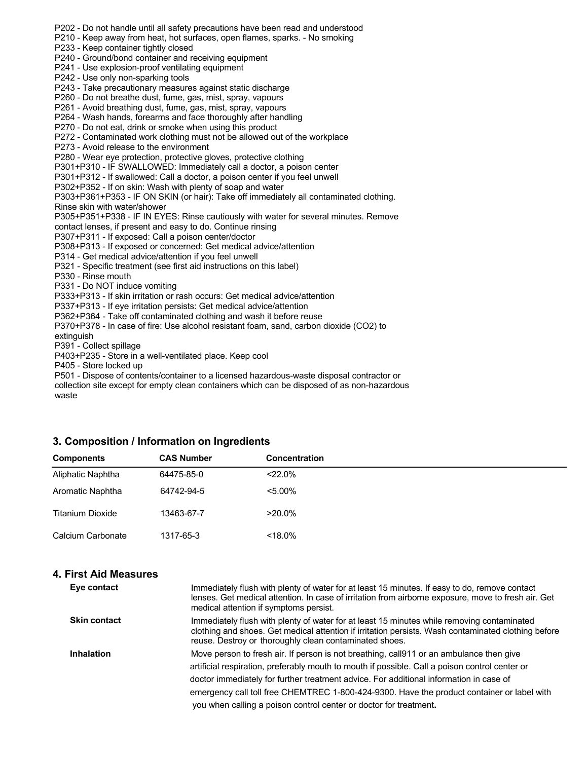P202 - Do not handle until all safety precautions have been read and understood P210 - Keep away from heat, hot surfaces, open flames, sparks. - No smoking P233 - Keep container tightly closed P240 - Ground/bond container and receiving equipment P241 - Use explosion-proof ventilating equipment P242 - Use only non-sparking tools P243 - Take precautionary measures against static discharge P260 - Do not breathe dust, fume, gas, mist, spray, vapours P261 - Avoid breathing dust, fume, gas, mist, spray, vapours P264 - Wash hands, forearms and face thoroughly after handling P270 - Do not eat, drink or smoke when using this product P272 - Contaminated work clothing must not be allowed out of the workplace P273 - Avoid release to the environment P280 - Wear eye protection, protective gloves, protective clothing P301+P310 - IF SWALLOWED: Immediately call a doctor, a poison center P301+P312 - If swallowed: Call a doctor, a poison center if you feel unwell P302+P352 - If on skin: Wash with plenty of soap and water P303+P361+P353 - IF ON SKIN (or hair): Take off immediately all contaminated clothing. Rinse skin with water/shower P305+P351+P338 - IF IN EYES: Rinse cautiously with water for several minutes. Remove contact lenses, if present and easy to do. Continue rinsing P307+P311 - If exposed: Call a poison center/doctor P308+P313 - If exposed or concerned: Get medical advice/attention P314 - Get medical advice/attention if you feel unwell P321 - Specific treatment (see first aid instructions on this label) P330 - Rinse mouth P331 - Do NOT induce vomiting P333+P313 - If skin irritation or rash occurs: Get medical advice/attention P337+P313 - If eye irritation persists: Get medical advice/attention P362+P364 - Take off contaminated clothing and wash it before reuse P370+P378 - In case of fire: Use alcohol resistant foam, sand, carbon dioxide (CO2) to extinguish P391 - Collect spillage P403+P235 - Store in a well-ventilated place. Keep cool P405 - Store locked up P501 - Dispose of contents/container to a licensed hazardous-waste disposal contractor or

collection site except for empty clean containers which can be disposed of as non-hazardous waste

### **3. Composition / Information on Ingredients**

| <b>Components</b> | <b>CAS Number</b> | <b>Concentration</b> |
|-------------------|-------------------|----------------------|
| Aliphatic Naphtha | 64475-85-0        | $<$ 22.0%            |
| Aromatic Naphtha  | 64742-94-5        | $< 5.00\%$           |
| Titanium Dioxide  | 13463-67-7        | $>20.0\%$            |
| Calcium Carbonate | 1317-65-3         | $<$ 18.0%            |

### **4. First Aid Measures**

| Eye contact         | Immediately flush with plenty of water for at least 15 minutes. If easy to do, remove contact<br>lenses. Get medical attention. In case of irritation from airborne exposure, move to fresh air. Get<br>medical attention if symptoms persist.                                                                                                                                                                                                         |
|---------------------|--------------------------------------------------------------------------------------------------------------------------------------------------------------------------------------------------------------------------------------------------------------------------------------------------------------------------------------------------------------------------------------------------------------------------------------------------------|
| <b>Skin contact</b> | Immediately flush with plenty of water for at least 15 minutes while removing contaminated<br>clothing and shoes. Get medical attention if irritation persists. Wash contaminated clothing before<br>reuse. Destroy or thoroughly clean contaminated shoes.                                                                                                                                                                                            |
| Inhalation          | Move person to fresh air. If person is not breathing, call911 or an ambulance then give<br>artificial respiration, preferably mouth to mouth if possible. Call a poison control center or<br>doctor immediately for further treatment advice. For additional information in case of<br>emergency call toll free CHEMTREC 1-800-424-9300. Have the product container or label with<br>you when calling a poison control center or doctor for treatment. |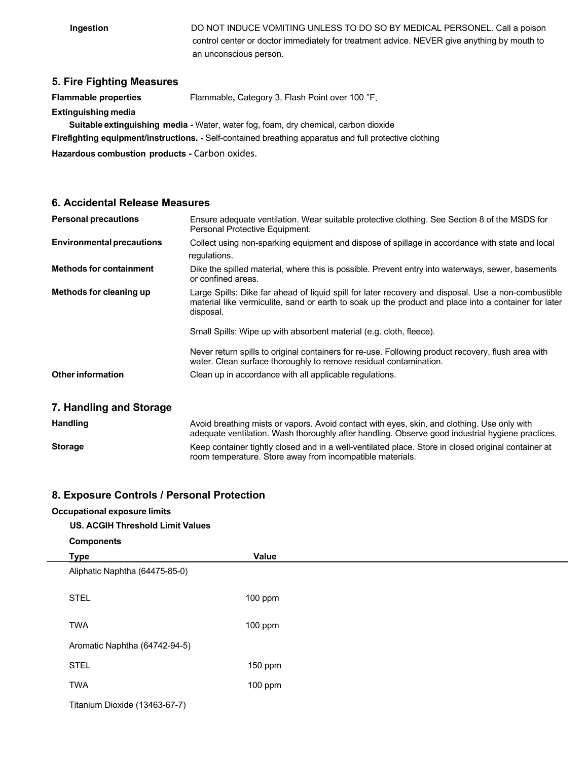**Ingestion** DO NOT INDUCE VOMITING UNLESS TO DO SO BY MEDICAL PERSONEL. Call a poison control center or doctor immediately for treatment advice. NEVER give anything by mouth to an unconscious person.

### **5. Fire Fighting Measures**

**Flammable properties** Flammable**,** Category 3, Flash Point over 100 °F.

**Extinguishing media**

**Suitable extinguishing media -** Water, water fog, foam, dry chemical, carbon dioxide

**Firefighting equipment/instructions. -** Self-contained breathing apparatus and full protective clothing

**Hazardous combustion products -** Carbon oxides.

### **6. Accidental Release Measures**

| <b>Personal precautions</b>      | Ensure adequate ventilation. Wear suitable protective clothing. See Section 8 of the MSDS for<br>Personal Protective Equipment.                                                                                          |
|----------------------------------|--------------------------------------------------------------------------------------------------------------------------------------------------------------------------------------------------------------------------|
| <b>Environmental precautions</b> | Collect using non-sparking equipment and dispose of spillage in accordance with state and local                                                                                                                          |
|                                  | regulations.                                                                                                                                                                                                             |
| <b>Methods for containment</b>   | Dike the spilled material, where this is possible. Prevent entry into waterways, sewer, basements<br>or confined areas.                                                                                                  |
| Methods for cleaning up          | Large Spills: Dike far ahead of liquid spill for later recovery and disposal. Use a non-combustible<br>material like vermiculite, sand or earth to soak up the product and place into a container for later<br>disposal. |
|                                  | Small Spills: Wipe up with absorbent material (e.g. cloth, fleece).                                                                                                                                                      |
|                                  | Never return spills to original containers for re-use. Following product recovery, flush area with<br>water. Clean surface thoroughly to remove residual contamination.                                                  |
| <b>Other information</b>         | Clean up in accordance with all applicable regulations.                                                                                                                                                                  |
| 7. Handling and Storage          |                                                                                                                                                                                                                          |
| <b>Handling</b>                  | Avoid breathing mists or vapors. Avoid contact with eyes, skin, and clothing. Use only with<br>adequate ventilation. Wash thoroughly after handling. Observe good industrial hygiene practices.                          |
| <b>Storage</b>                   | Keep container tightly closed and in a well-ventilated place. Store in closed original container at                                                                                                                      |

room temperature. Store away from incompatible materials.

### **8. Exposure Controls / Personal Protection**

# **Occupational exposure limits US. ACGIH Threshold Limit Values Components Type Value** Aliphatic Naphtha (64475-85-0) STEL 100 ppm TWA 100 ppm Aromatic Naphtha (64742-94-5) STEL 150 ppm TWA 100 ppm Titanium Dioxide (13463-67-7)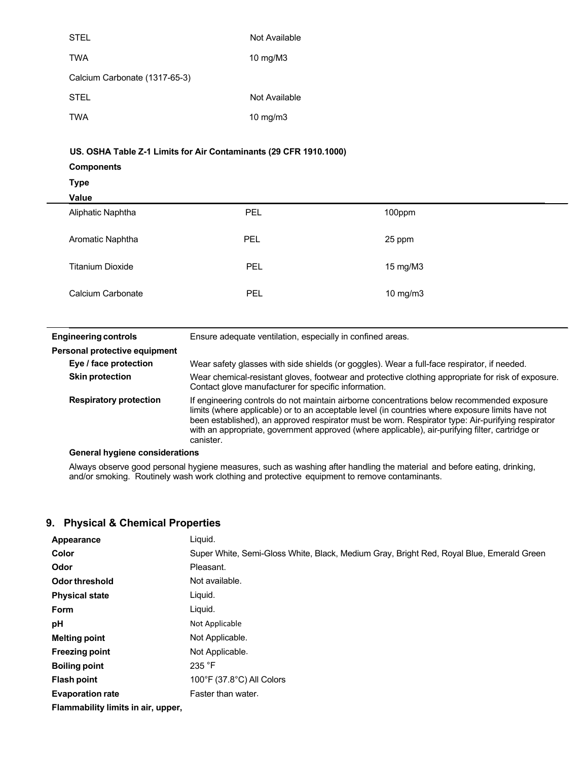| <b>STEL</b>                                                       | Not Available |        |  |
|-------------------------------------------------------------------|---------------|--------|--|
| <b>TWA</b>                                                        | 10 mg/M3      |        |  |
| Calcium Carbonate (1317-65-3)                                     |               |        |  |
| <b>STEL</b>                                                       | Not Available |        |  |
| <b>TWA</b>                                                        | 10 mg/m3      |        |  |
|                                                                   |               |        |  |
| US. OSHA Table Z-1 Limits for Air Contaminants (29 CFR 1910.1000) |               |        |  |
|                                                                   |               |        |  |
| <b>Components</b>                                                 |               |        |  |
| <b>Type</b>                                                       |               |        |  |
| Value                                                             |               |        |  |
| Aliphatic Naphtha                                                 | PEL           | 100ppm |  |
| Aromatic Naphtha                                                  | <b>PEL</b>    | 25 ppm |  |

| <b>Engineering controls</b>   | Ensure adequate ventilation, especially in confined areas.                                                                                                                                                                                                                                                                                                                                                          |
|-------------------------------|---------------------------------------------------------------------------------------------------------------------------------------------------------------------------------------------------------------------------------------------------------------------------------------------------------------------------------------------------------------------------------------------------------------------|
| Personal protective equipment |                                                                                                                                                                                                                                                                                                                                                                                                                     |
| Eye / face protection         | Wear safety glasses with side shields (or goggles). Wear a full-face respirator, if needed.                                                                                                                                                                                                                                                                                                                         |
| <b>Skin protection</b>        | Wear chemical-resistant gloves, footwear and protective clothing appropriate for risk of exposure.<br>Contact glove manufacturer for specific information.                                                                                                                                                                                                                                                          |
| <b>Respiratory protection</b> | If engineering controls do not maintain airborne concentrations below recommended exposure<br>limits (where applicable) or to an acceptable level (in countries where exposure limits have not<br>been established), an approved respirator must be worn. Respirator type: Air-purifying respirator<br>with an appropriate, government approved (where applicable), air-purifying filter, cartridge or<br>canister. |
|                               |                                                                                                                                                                                                                                                                                                                                                                                                                     |

Calcium Carbonate **PEL** PEL 10 mg/m3

**General hygiene considerations**

Always observe good personal hygiene measures, such as washing after handling the material and before eating, drinking, and/or smoking. Routinely wash work clothing and protective equipment to remove contaminants.

### **9. Physical & Chemical Properties**

| Appearance                       | Liquid.                                                                                  |
|----------------------------------|------------------------------------------------------------------------------------------|
| Color                            | Super White, Semi-Gloss White, Black, Medium Gray, Bright Red, Royal Blue, Emerald Green |
| Odor                             | Pleasant.                                                                                |
| Odor threshold                   | Not available.                                                                           |
| <b>Physical state</b>            | Liguid.                                                                                  |
| <b>Form</b>                      | Liquid.                                                                                  |
| рH                               | Not Applicable                                                                           |
| <b>Melting point</b>             | Not Applicable.                                                                          |
| <b>Freezing point</b>            | Not Applicable.                                                                          |
| <b>Boiling point</b>             | 235 °F                                                                                   |
| Flash point                      | $100^{\circ}$ F (37.8 $^{\circ}$ C) All Colors                                           |
| <b>Evaporation rate</b>          | Faster than water.                                                                       |
| Flammability limite in air unner |                                                                                          |

**Flammability limits in air, upper,**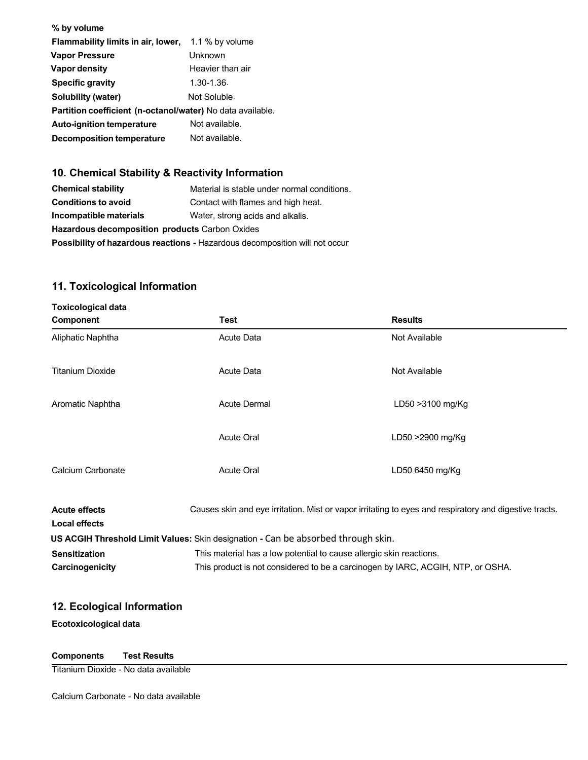| % by volume                                                |                  |
|------------------------------------------------------------|------------------|
| Flammability limits in air, lower,                         | 1.1 % by volume  |
| <b>Vapor Pressure</b>                                      | Unknown          |
| <b>Vapor density</b>                                       | Heavier than air |
| <b>Specific gravity</b>                                    | $1.30 - 1.36$    |
| Solubility (water)                                         | Not Soluble.     |
| Partition coefficient (n-octanol/water) No data available. |                  |
| <b>Auto-ignition temperature</b>                           | Not available.   |
| <b>Decomposition temperature</b>                           | Not available.   |

# **10. Chemical Stability & Reactivity Information**

| <b>Chemical stability</b>                                                          | Material is stable under normal conditions. |
|------------------------------------------------------------------------------------|---------------------------------------------|
| <b>Conditions to avoid</b>                                                         | Contact with flames and high heat.          |
| Incompatible materials                                                             | Water, strong acids and alkalis.            |
| Hazardous decomposition products Carbon Oxides                                     |                                             |
| <b>Possibility of hazardous reactions - Hazardous decomposition will not occur</b> |                                             |

# **11. Toxicological Information**

| <b>Toxicological data</b>                    |                                                                                   |                                                                                                        |  |
|----------------------------------------------|-----------------------------------------------------------------------------------|--------------------------------------------------------------------------------------------------------|--|
| Component                                    | Test                                                                              | <b>Results</b>                                                                                         |  |
| Aliphatic Naphtha                            | <b>Acute Data</b>                                                                 | Not Available                                                                                          |  |
| <b>Titanium Dioxide</b>                      | <b>Acute Data</b>                                                                 | Not Available                                                                                          |  |
| Aromatic Naphtha                             | <b>Acute Dermal</b>                                                               | LD50 > 3100 mg/Kg                                                                                      |  |
|                                              | <b>Acute Oral</b>                                                                 | LD50 >2900 mg/Kg                                                                                       |  |
| Calcium Carbonate                            | Acute Oral                                                                        | LD50 6450 mg/Kg                                                                                        |  |
| <b>Acute effects</b><br><b>Local effects</b> |                                                                                   | Causes skin and eye irritation. Mist or vapor irritating to eyes and respiratory and digestive tracts. |  |
|                                              | US ACGIH Threshold Limit Values: Skin designation - Can be absorbed through skin. |                                                                                                        |  |
| <b>Sensitization</b>                         |                                                                                   | This material has a low potential to cause allergic skin reactions.                                    |  |
| Carcinogenicity                              |                                                                                   | This product is not considered to be a carcinogen by IARC, ACGIH, NTP, or OSHA.                        |  |

## **12. Ecological Information**

**Ecotoxicological data**

## **Components Test Results**

Titanium Dioxide - No data available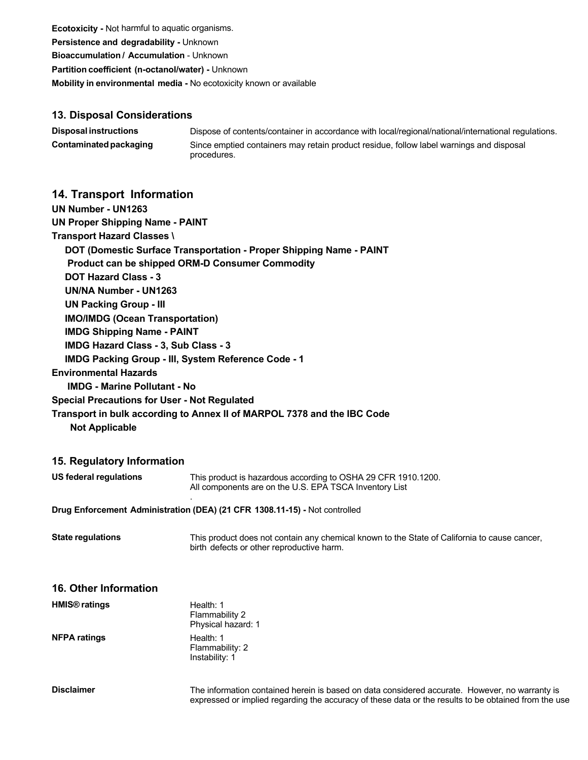**Ecotoxicity -** Not harmful to aquatic organisms. **Persistence and degradability -** Unknown **Bioaccumulation / Accumulation** - Unknown **Partition coefficient (n-octanol/water) -** Unknown **Mobility in environmental media -** No ecotoxicity known or available

### **13. Disposal Considerations**

| <b>Disposal instructions</b> | Dispose of contents/container in accordance with local/regional/national/international regulations.    |
|------------------------------|--------------------------------------------------------------------------------------------------------|
| Contaminated packaging       | Since emptied containers may retain product residue, follow label warnings and disposal<br>procedures. |

### **14. Transport Information**

| <b>UN Proper Shipping Name - PAINT</b>                                     |
|----------------------------------------------------------------------------|
| <b>Transport Hazard Classes \</b>                                          |
| <b>DOT (Domestic Surface Transportation - Proper Shipping Name - PAINT</b> |
| <b>Product can be shipped ORM-D Consumer Commodity</b>                     |
| <b>DOT Hazard Class - 3</b>                                                |
| UN/NA Number - UN1263                                                      |
| <b>UN Packing Group - III</b>                                              |
| <b>IMO/IMDG (Ocean Transportation)</b>                                     |
| <b>IMDG Shipping Name - PAINT</b>                                          |
| <b>IMDG Hazard Class - 3, Sub Class - 3</b>                                |
| <b>IMDG Packing Group - III, System Reference Code - 1</b>                 |
| <b>Environmental Hazards</b>                                               |
| <b>IMDG - Marine Pollutant - No</b>                                        |
| <b>Special Precautions for User - Not Regulated</b>                        |
| Transport in bulk according to Annex II of MARPOL 7378 and the IBC Code    |
|                                                                            |

 **Not Applicable**

### **15. Regulatory Information**

| US federal regulations | This product is hazardous according to OSHA 29 CFR 1910.1200.<br>All components are on the U.S. EPA TSCA Inventory List |
|------------------------|-------------------------------------------------------------------------------------------------------------------------|
|                        |                                                                                                                         |

**Drug Enforcement Administration (DEA) (21 CFR 1308.11-15) -** Not controlled

**State regulations** This product does not contain any chemical known to the State of California to cause cancer, birth defects or other reproductive harm.

| <b>16. Other Information</b> |                                                   |
|------------------------------|---------------------------------------------------|
| HMIS <sup>®</sup> ratings    | Health: 1<br>Flammability 2<br>Physical hazard: 1 |
| <b>NFPA ratings</b>          | Health: 1<br>Flammability: 2<br>Instability: 1    |
| <b>Disclaimer</b>            | The information contained                         |

d herein is based on data considered accurate. However, no warranty is expressed or implied regarding the accuracy of these data or the results to be obtained from the use